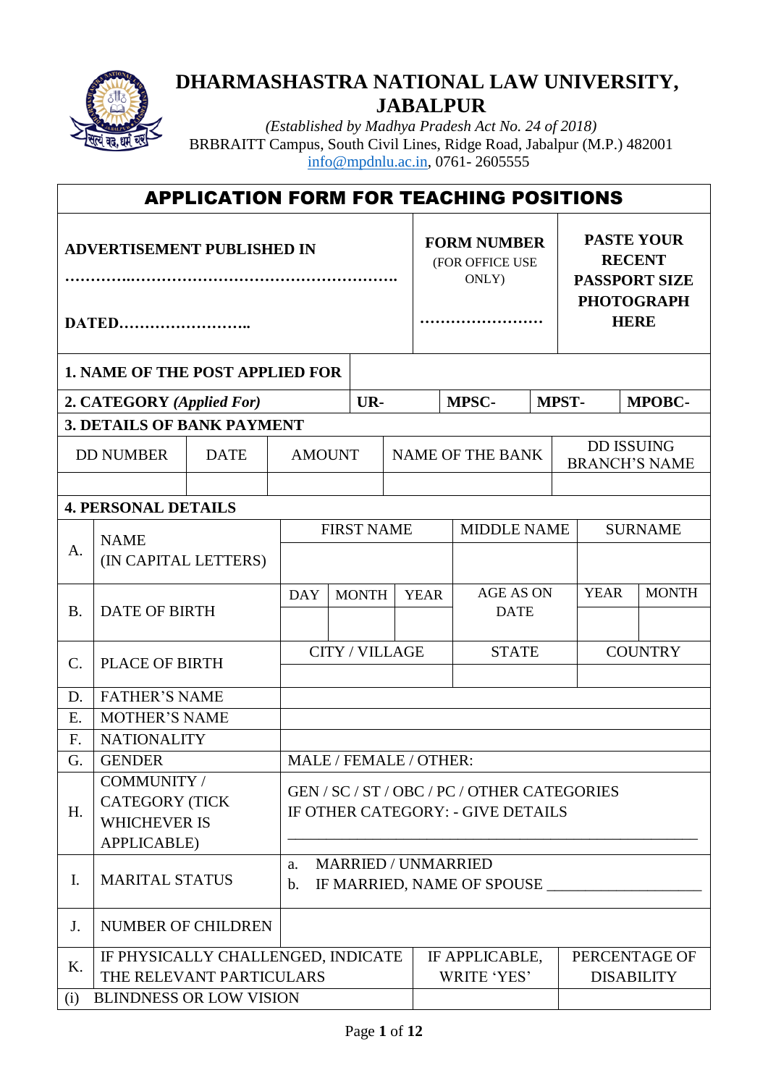

ľ

## **DHARMASHASTRA NATIONAL LAW UNIVERSITY, JABALPUR**

*(Established by Madhya Pradesh Act No. 24 of 2018)* BRBRAITT Campus, South Civil Lines, Ridge Road, Jabalpur (M.P.) 482001 [info@mpdnlu.ac.in,](mailto:info@mpdnlu.ac.in) 0761- 2605555

| <b>APPLICATION FORM FOR TEACHING POSITIONS</b> |                                        |                          |                       |                                                                        |  |                                                |                               |              |                                                                                 |                                    |
|------------------------------------------------|----------------------------------------|--------------------------|-----------------------|------------------------------------------------------------------------|--|------------------------------------------------|-------------------------------|--------------|---------------------------------------------------------------------------------|------------------------------------|
| <b>ADVERTISEMENT PUBLISHED IN</b>              |                                        |                          |                       |                                                                        |  | <b>FORM NUMBER</b><br>(FOR OFFICE USE<br>ONLY) |                               |              | <b>PASTE YOUR</b><br><b>RECENT</b><br><b>PASSPORT SIZE</b><br><b>PHOTOGRAPH</b> |                                    |
|                                                | <b>DATED</b>                           |                          |                       |                                                                        |  |                                                |                               |              | <b>HERE</b>                                                                     |                                    |
|                                                | <b>1. NAME OF THE POST APPLIED FOR</b> |                          |                       |                                                                        |  |                                                |                               |              |                                                                                 |                                    |
|                                                | 2. CATEGORY (Applied For)              |                          |                       | UR-                                                                    |  |                                                | MPSC-                         | <b>MPST-</b> |                                                                                 | <b>MPOBC-</b>                      |
|                                                | <b>3. DETAILS OF BANK PAYMENT</b>      |                          |                       |                                                                        |  |                                                |                               |              |                                                                                 |                                    |
|                                                | <b>DD NUMBER</b>                       | <b>DATE</b>              | <b>AMOUNT</b>         |                                                                        |  |                                                | <b>NAME OF THE BANK</b>       |              | <b>DD ISSUING</b><br><b>BRANCH'S NAME</b>                                       |                                    |
|                                                |                                        |                          |                       |                                                                        |  |                                                |                               |              |                                                                                 |                                    |
|                                                | <b>4. PERSONAL DETAILS</b>             |                          |                       |                                                                        |  |                                                |                               |              |                                                                                 |                                    |
|                                                | <b>NAME</b>                            |                          |                       | <b>FIRST NAME</b>                                                      |  | <b>MIDDLE NAME</b>                             |                               |              | <b>SURNAME</b>                                                                  |                                    |
| A.                                             | (IN CAPITAL LETTERS)                   |                          |                       |                                                                        |  |                                                |                               |              |                                                                                 |                                    |
|                                                |                                        |                          | <b>DAY</b>            | <b>MONTH</b>                                                           |  | <b>YEAR</b>                                    | <b>AGE AS ON</b>              |              | <b>YEAR</b>                                                                     | <b>MONTH</b>                       |
| <b>B.</b>                                      | <b>DATE OF BIRTH</b>                   |                          |                       |                                                                        |  | <b>DATE</b>                                    |                               |              |                                                                                 |                                    |
|                                                |                                        |                          | <b>CITY / VILLAGE</b> |                                                                        |  |                                                | <b>STATE</b>                  |              |                                                                                 | <b>COUNTRY</b>                     |
| $\mathcal{C}$ .                                | <b>PLACE OF BIRTH</b>                  |                          |                       |                                                                        |  |                                                |                               |              |                                                                                 |                                    |
| D.                                             | <b>FATHER'S NAME</b>                   |                          |                       |                                                                        |  |                                                |                               |              |                                                                                 |                                    |
| E.                                             | <b>MOTHER'S NAME</b>                   |                          |                       |                                                                        |  |                                                |                               |              |                                                                                 |                                    |
| $F_{\cdot}$                                    | <b>NATIONALITY</b>                     |                          |                       |                                                                        |  |                                                |                               |              |                                                                                 |                                    |
| G.                                             | <b>GENDER</b>                          |                          |                       | MALE / FEMALE / OTHER:                                                 |  |                                                |                               |              |                                                                                 |                                    |
|                                                | COMMUNITY /<br><b>CATEGORY (TICK</b>   |                          |                       | GEN/SC/ST/OBC/PC/OTHER CATEGORIES<br>IF OTHER CATEGORY: - GIVE DETAILS |  |                                                |                               |              |                                                                                 |                                    |
| H.                                             | <b>WHICHEVER IS</b>                    |                          |                       |                                                                        |  |                                                |                               |              |                                                                                 |                                    |
|                                                | <b>APPLICABLE)</b>                     |                          |                       |                                                                        |  |                                                |                               |              |                                                                                 |                                    |
| Ι.                                             | a.<br><b>MARITAL STATUS</b><br>b.      |                          |                       | <b>MARRIED / UNMARRIED</b><br>IF MARRIED, NAME OF SPOUSE               |  |                                                |                               |              |                                                                                 |                                    |
| J.                                             |                                        | NUMBER OF CHILDREN       |                       |                                                                        |  |                                                |                               |              |                                                                                 |                                    |
| K.                                             | IF PHYSICALLY CHALLENGED, INDICATE     | THE RELEVANT PARTICULARS |                       |                                                                        |  |                                                | IF APPLICABLE,<br>WRITE 'YES' |              |                                                                                 | PERCENTAGE OF<br><b>DISABILITY</b> |
| (i)                                            | <b>BLINDNESS OR LOW VISION</b>         |                          |                       |                                                                        |  |                                                |                               |              |                                                                                 |                                    |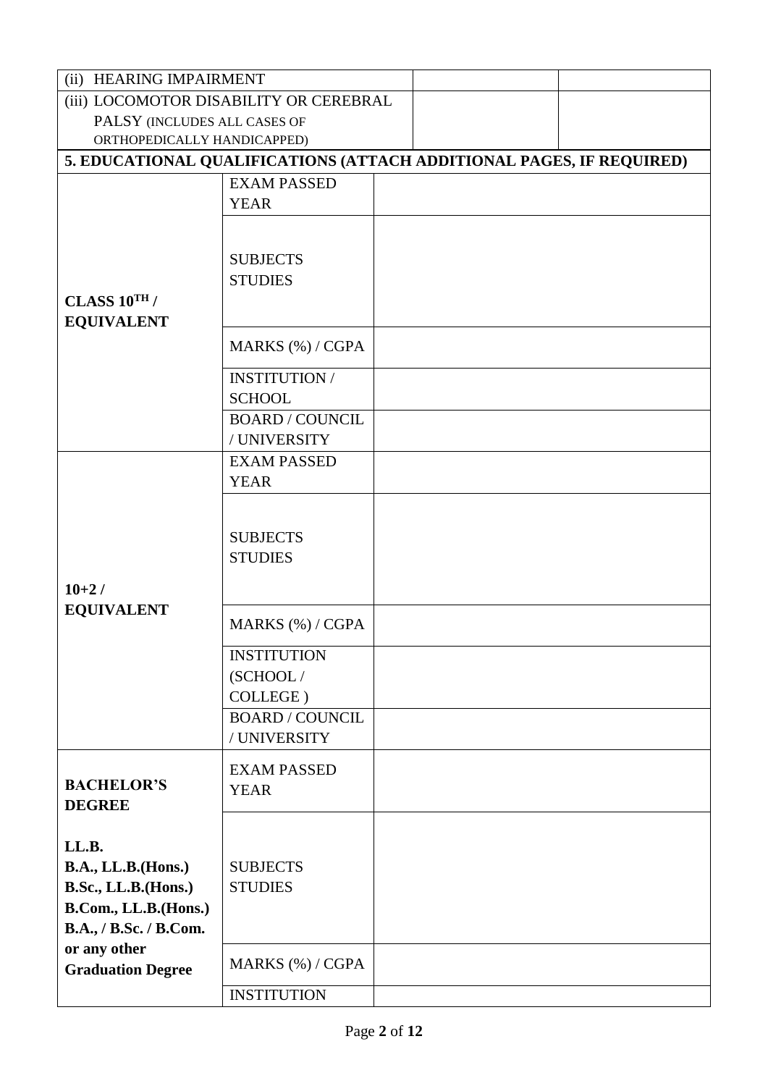| (ii) HEARING IMPAIRMENT                                              |                        |  |  |  |  |
|----------------------------------------------------------------------|------------------------|--|--|--|--|
| (iii) LOCOMOTOR DISABILITY OR CEREBRAL                               |                        |  |  |  |  |
| PALSY (INCLUDES ALL CASES OF                                         |                        |  |  |  |  |
| ORTHOPEDICALLY HANDICAPPED)                                          |                        |  |  |  |  |
| 5. EDUCATIONAL QUALIFICATIONS (ATTACH ADDITIONAL PAGES, IF REQUIRED) |                        |  |  |  |  |
|                                                                      | <b>EXAM PASSED</b>     |  |  |  |  |
|                                                                      | <b>YEAR</b>            |  |  |  |  |
|                                                                      |                        |  |  |  |  |
|                                                                      |                        |  |  |  |  |
|                                                                      | <b>SUBJECTS</b>        |  |  |  |  |
|                                                                      | <b>STUDIES</b>         |  |  |  |  |
| CLASS $10^{TH}$ /                                                    |                        |  |  |  |  |
| <b>EQUIVALENT</b>                                                    |                        |  |  |  |  |
|                                                                      | MARKS (%) / CGPA       |  |  |  |  |
|                                                                      | <b>INSTITUTION /</b>   |  |  |  |  |
|                                                                      | <b>SCHOOL</b>          |  |  |  |  |
|                                                                      | <b>BOARD / COUNCIL</b> |  |  |  |  |
|                                                                      | / UNIVERSITY           |  |  |  |  |
|                                                                      | <b>EXAM PASSED</b>     |  |  |  |  |
|                                                                      | <b>YEAR</b>            |  |  |  |  |
|                                                                      |                        |  |  |  |  |
|                                                                      |                        |  |  |  |  |
|                                                                      | <b>SUBJECTS</b>        |  |  |  |  |
|                                                                      | <b>STUDIES</b>         |  |  |  |  |
| $10+2/$                                                              |                        |  |  |  |  |
| <b>EQUIVALENT</b>                                                    |                        |  |  |  |  |
|                                                                      | MARKS (%) / CGPA       |  |  |  |  |
|                                                                      | <b>INSTITUTION</b>     |  |  |  |  |
|                                                                      | (SCHOOL/               |  |  |  |  |
|                                                                      | COLLEGE)               |  |  |  |  |
|                                                                      | <b>BOARD / COUNCIL</b> |  |  |  |  |
|                                                                      | / UNIVERSITY           |  |  |  |  |
|                                                                      | <b>EXAM PASSED</b>     |  |  |  |  |
| <b>BACHELOR'S</b>                                                    | <b>YEAR</b>            |  |  |  |  |
| <b>DEGREE</b>                                                        |                        |  |  |  |  |
|                                                                      |                        |  |  |  |  |
| LL.B.                                                                |                        |  |  |  |  |
| <b>B.A., LL.B.</b> (Hons.)                                           | <b>SUBJECTS</b>        |  |  |  |  |
| B.Sc., LL.B.(Hons.)                                                  | <b>STUDIES</b>         |  |  |  |  |
| B.Com., LL.B.(Hons.)                                                 |                        |  |  |  |  |
| B.A., / B.Sc. / B.Com.                                               |                        |  |  |  |  |
| or any other                                                         |                        |  |  |  |  |
| <b>Graduation Degree</b>                                             | MARKS (%) / CGPA       |  |  |  |  |
|                                                                      | <b>INSTITUTION</b>     |  |  |  |  |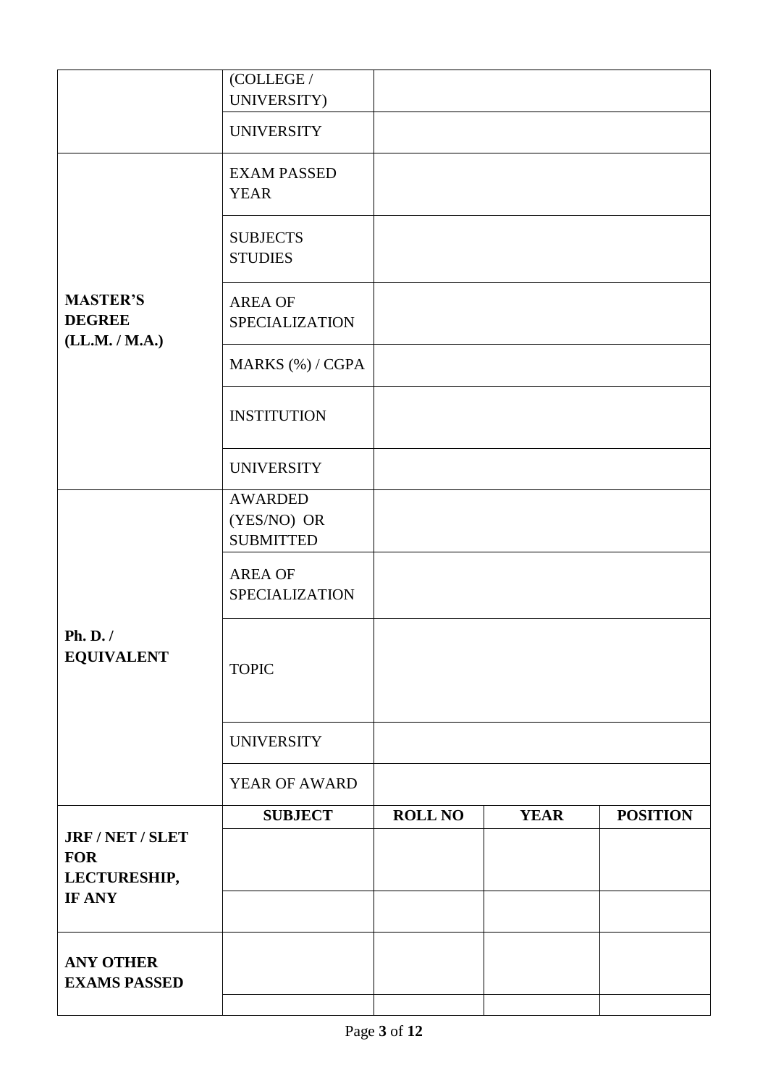|                                                    | (COLLEGE /<br>UNIVERSITY)                         |                |             |                 |
|----------------------------------------------------|---------------------------------------------------|----------------|-------------|-----------------|
|                                                    | <b>UNIVERSITY</b>                                 |                |             |                 |
|                                                    | <b>EXAM PASSED</b><br><b>YEAR</b>                 |                |             |                 |
|                                                    | <b>SUBJECTS</b><br><b>STUDIES</b>                 |                |             |                 |
| <b>MASTER'S</b><br><b>DEGREE</b><br>(LL.M. / M.A.) | <b>AREA OF</b><br>SPECIALIZATION                  |                |             |                 |
|                                                    | MARKS (%) / CGPA                                  |                |             |                 |
|                                                    | <b>INSTITUTION</b>                                |                |             |                 |
|                                                    | <b>UNIVERSITY</b>                                 |                |             |                 |
|                                                    | <b>AWARDED</b><br>(YES/NO) OR<br><b>SUBMITTED</b> |                |             |                 |
|                                                    | <b>AREA OF</b><br><b>SPECIALIZATION</b>           |                |             |                 |
| Ph. D./<br><b>EQUIVALENT</b>                       | <b>TOPIC</b>                                      |                |             |                 |
|                                                    | <b>UNIVERSITY</b>                                 |                |             |                 |
|                                                    | YEAR OF AWARD                                     |                |             |                 |
| JRF / NET / SLET                                   | <b>SUBJECT</b>                                    | <b>ROLL NO</b> | <b>YEAR</b> | <b>POSITION</b> |
| <b>FOR</b>                                         |                                                   |                |             |                 |
| LECTURESHIP,<br>IF ANY                             |                                                   |                |             |                 |
| <b>ANY OTHER</b><br><b>EXAMS PASSED</b>            |                                                   |                |             |                 |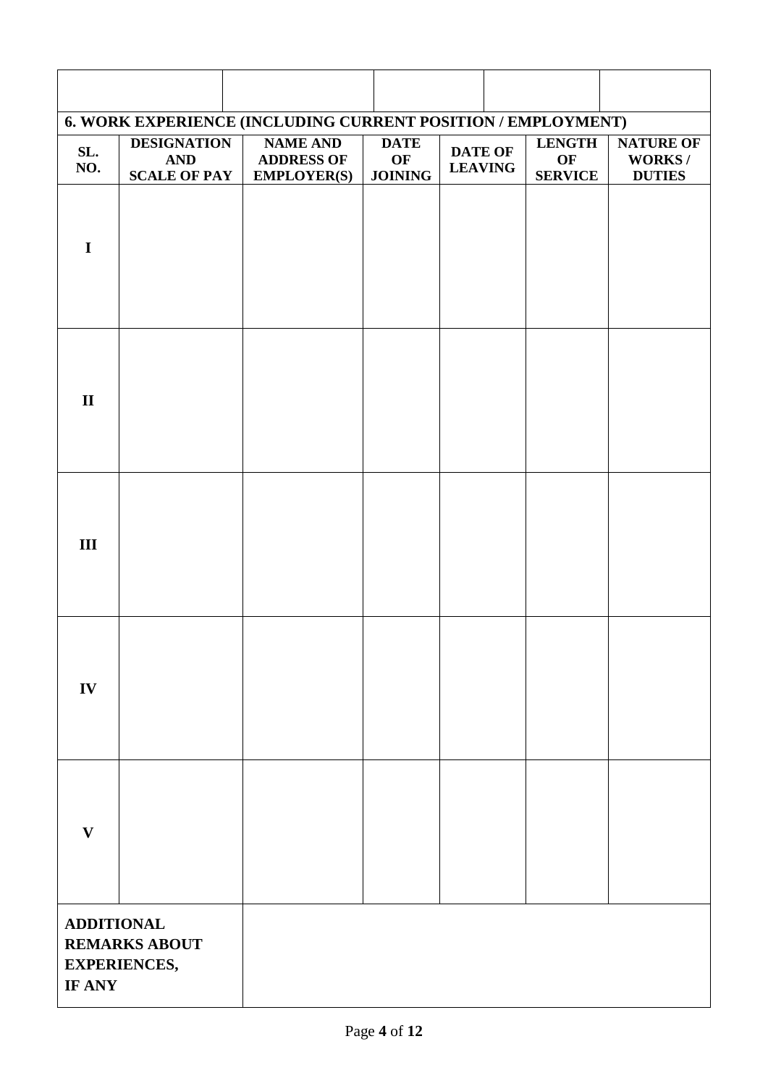|                             |                                                         | 6. WORK EXPERIENCE (INCLUDING CURRENT POSITION / EMPLOYMENT) |                                     |                                  |                                       |                                                    |
|-----------------------------|---------------------------------------------------------|--------------------------------------------------------------|-------------------------------------|----------------------------------|---------------------------------------|----------------------------------------------------|
| SL.<br>NO.                  | <b>DESIGNATION</b><br><b>AND</b><br><b>SCALE OF PAY</b> | <b>NAME AND</b><br><b>ADDRESS OF</b><br><b>EMPLOYER(S)</b>   | <b>DATE</b><br>OF<br><b>JOINING</b> | <b>DATE OF</b><br><b>LEAVING</b> | <b>LENGTH</b><br>OF<br><b>SERVICE</b> | <b>NATURE OF</b><br><b>WORKS/</b><br><b>DUTIES</b> |
| $\mathbf I$                 |                                                         |                                                              |                                     |                                  |                                       |                                                    |
| $\mathbf{I}$                |                                                         |                                                              |                                     |                                  |                                       |                                                    |
| III                         |                                                         |                                                              |                                     |                                  |                                       |                                                    |
| IV                          |                                                         |                                                              |                                     |                                  |                                       |                                                    |
| $\mathbf{V}$                |                                                         |                                                              |                                     |                                  |                                       |                                                    |
| <b>ADDITIONAL</b><br>IF ANY | <b>REMARKS ABOUT</b><br><b>EXPERIENCES,</b>             |                                                              |                                     |                                  |                                       |                                                    |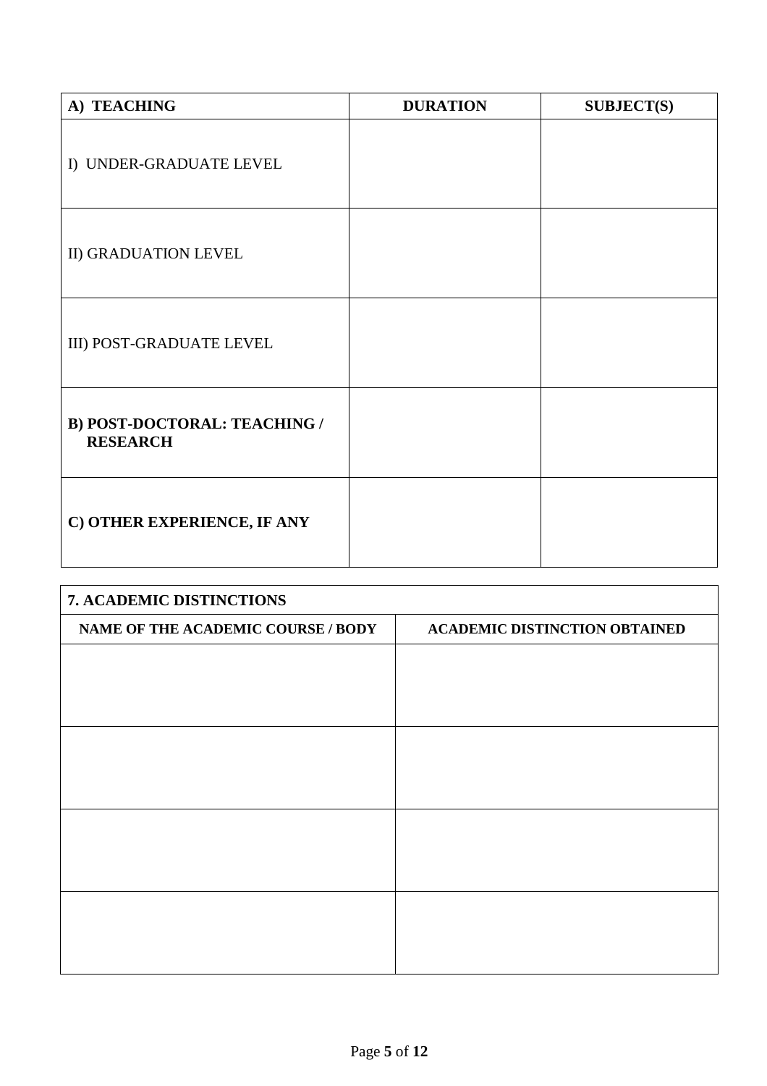| A) TEACHING                                            | <b>DURATION</b> | <b>SUBJECT(S)</b> |
|--------------------------------------------------------|-----------------|-------------------|
| I) UNDER-GRADUATE LEVEL                                |                 |                   |
| II) GRADUATION LEVEL                                   |                 |                   |
| III) POST-GRADUATE LEVEL                               |                 |                   |
| <b>B) POST-DOCTORAL: TEACHING /</b><br><b>RESEARCH</b> |                 |                   |
| C) OTHER EXPERIENCE, IF ANY                            |                 |                   |

| 7. ACADEMIC DISTINCTIONS           |                                      |  |  |  |
|------------------------------------|--------------------------------------|--|--|--|
| NAME OF THE ACADEMIC COURSE / BODY | <b>ACADEMIC DISTINCTION OBTAINED</b> |  |  |  |
|                                    |                                      |  |  |  |
|                                    |                                      |  |  |  |
|                                    |                                      |  |  |  |
|                                    |                                      |  |  |  |
|                                    |                                      |  |  |  |
|                                    |                                      |  |  |  |
|                                    |                                      |  |  |  |
|                                    |                                      |  |  |  |
|                                    |                                      |  |  |  |
|                                    |                                      |  |  |  |
|                                    |                                      |  |  |  |
|                                    |                                      |  |  |  |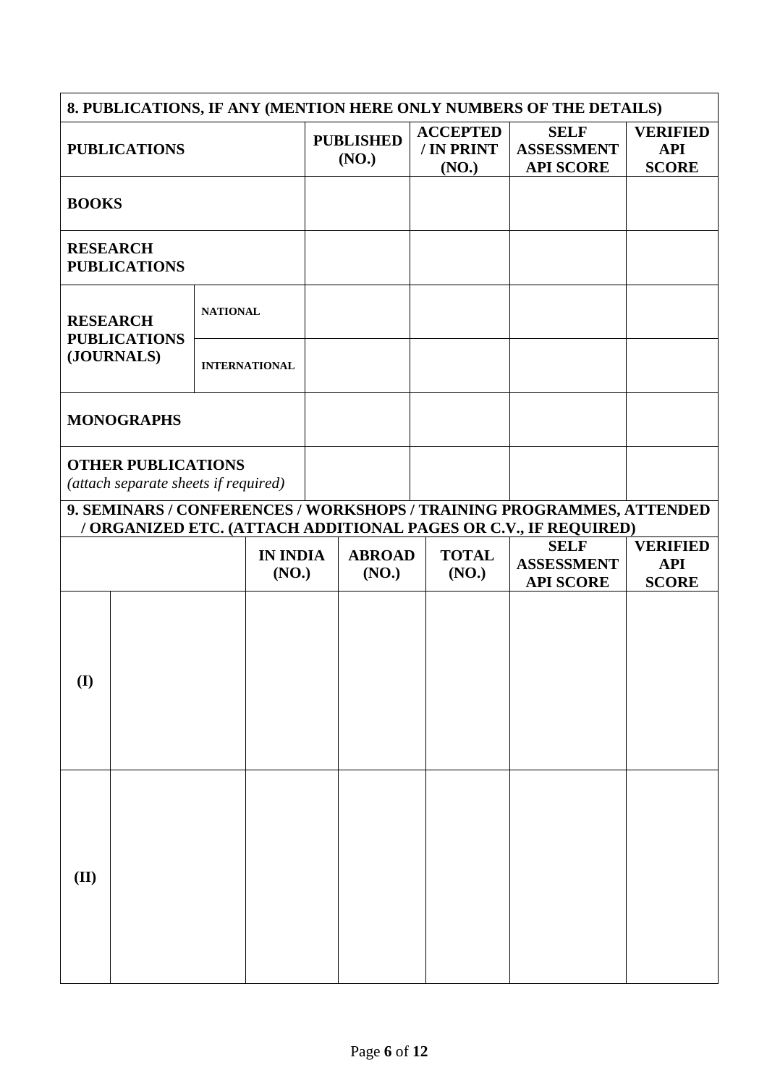| 8. PUBLICATIONS, IF ANY (MENTION HERE ONLY NUMBERS OF THE DETAILS)                                                                       |  |                 |                          |                           |                                        |                                                      |                                               |                               |
|------------------------------------------------------------------------------------------------------------------------------------------|--|-----------------|--------------------------|---------------------------|----------------------------------------|------------------------------------------------------|-----------------------------------------------|-------------------------------|
| <b>PUBLICATIONS</b>                                                                                                                      |  |                 |                          | <b>PUBLISHED</b><br>(NO.) | <b>ACCEPTED</b><br>/ IN PRINT<br>(NO.) | <b>SELF</b><br><b>ASSESSMENT</b><br><b>API SCORE</b> | <b>VERIFIED</b><br><b>API</b><br><b>SCORE</b> |                               |
| <b>BOOKS</b>                                                                                                                             |  |                 |                          |                           |                                        |                                                      |                                               |                               |
| <b>RESEARCH</b><br><b>PUBLICATIONS</b>                                                                                                   |  |                 |                          |                           |                                        |                                                      |                                               |                               |
| <b>RESEARCH</b><br><b>PUBLICATIONS</b>                                                                                                   |  | <b>NATIONAL</b> |                          |                           |                                        |                                                      |                                               |                               |
| (JOURNALS)                                                                                                                               |  |                 | <b>INTERNATIONAL</b>     |                           |                                        |                                                      |                                               |                               |
| <b>MONOGRAPHS</b>                                                                                                                        |  |                 |                          |                           |                                        |                                                      |                                               |                               |
| <b>OTHER PUBLICATIONS</b><br>(attach separate sheets if required)                                                                        |  |                 |                          |                           |                                        |                                                      |                                               |                               |
| 9. SEMINARS / CONFERENCES / WORKSHOPS / TRAINING PROGRAMMES, ATTENDED<br>/ ORGANIZED ETC. (ATTACH ADDITIONAL PAGES OR C.V., IF REQUIRED) |  |                 |                          |                           |                                        |                                                      |                                               |                               |
|                                                                                                                                          |  |                 |                          |                           |                                        |                                                      |                                               |                               |
|                                                                                                                                          |  |                 | <b>IN INDIA</b><br>(NO.) |                           | <b>ABROAD</b><br>(NO.)                 | <b>TOTAL</b><br>(NO.)                                | <b>SELF</b><br><b>ASSESSMENT</b>              | <b>VERIFIED</b><br><b>API</b> |
| $\bf{(I)}$                                                                                                                               |  |                 |                          |                           |                                        |                                                      | <b>API SCORE</b>                              | <b>SCORE</b>                  |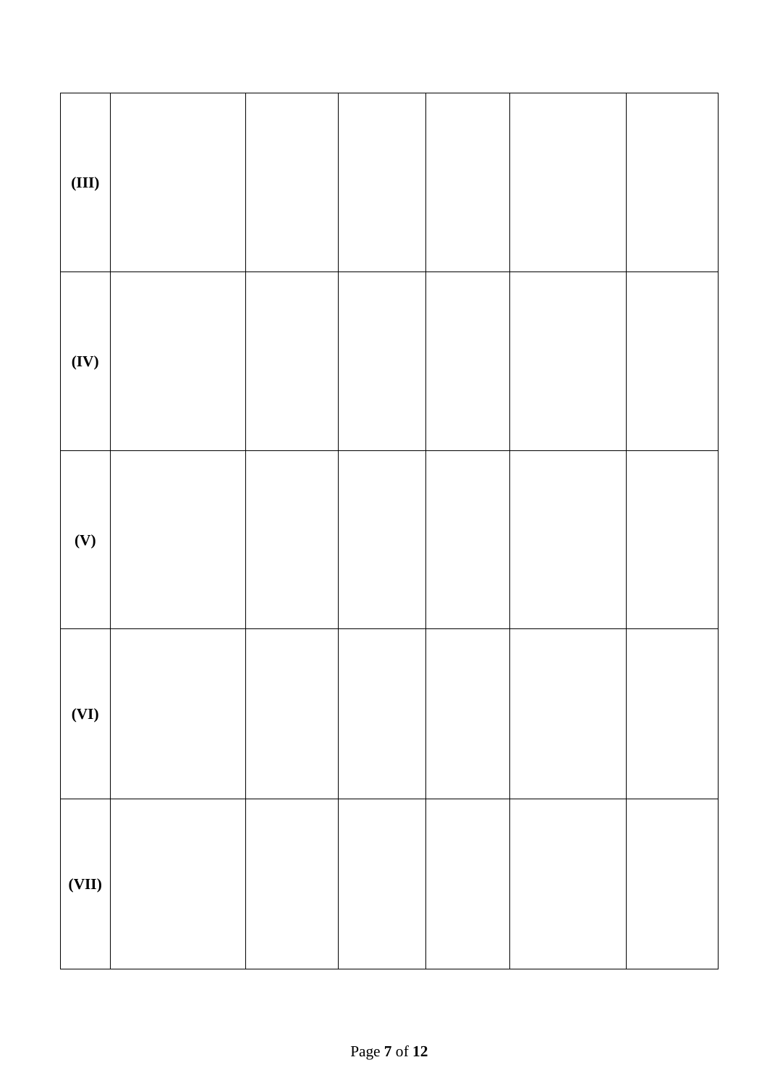| (III) |  |  |  |
|-------|--|--|--|
| (IV)  |  |  |  |
| (V)   |  |  |  |
| (VI)  |  |  |  |
| (VII) |  |  |  |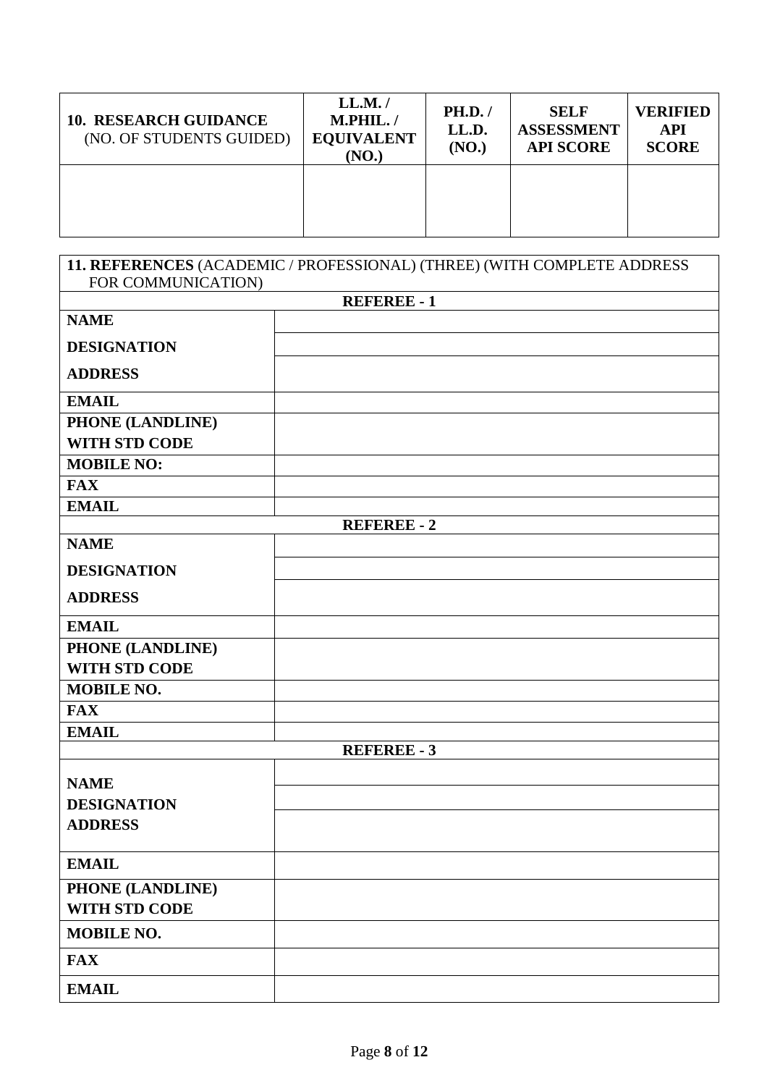| <b>10. RESEARCH GUIDANCE</b><br>(NO. OF STUDENTS GUIDED) | LL.M./<br>M.PHIL./<br><b>EQUIVALENT</b><br>(NO.) | <b>PH.D.</b> /<br>LL.D.<br>(NO.) | <b>SELF</b><br><b>ASSESSMENT</b><br><b>API SCORE</b> | <b>VERIFIED</b><br><b>API</b><br><b>SCORE</b> |
|----------------------------------------------------------|--------------------------------------------------|----------------------------------|------------------------------------------------------|-----------------------------------------------|
|                                                          |                                                  |                                  |                                                      |                                               |

| FOR COMMUNICATION)                       | 11. REFERENCES (ACADEMIC / PROFESSIONAL) (THREE) (WITH COMPLETE ADDRESS |
|------------------------------------------|-------------------------------------------------------------------------|
|                                          | <b>REFEREE - 1</b>                                                      |
| <b>NAME</b>                              |                                                                         |
| <b>DESIGNATION</b>                       |                                                                         |
| <b>ADDRESS</b>                           |                                                                         |
| <b>EMAIL</b>                             |                                                                         |
| PHONE (LANDLINE)<br><b>WITH STD CODE</b> |                                                                         |
| <b>MOBILE NO:</b>                        |                                                                         |
| <b>FAX</b>                               |                                                                         |
| <b>EMAIL</b>                             |                                                                         |
|                                          | <b>REFEREE - 2</b>                                                      |
| <b>NAME</b>                              |                                                                         |
| <b>DESIGNATION</b>                       |                                                                         |
| <b>ADDRESS</b>                           |                                                                         |
| <b>EMAIL</b>                             |                                                                         |
| PHONE (LANDLINE)<br><b>WITH STD CODE</b> |                                                                         |
| <b>MOBILE NO.</b>                        |                                                                         |
| <b>FAX</b>                               |                                                                         |
| <b>EMAIL</b>                             |                                                                         |
|                                          | <b>REFEREE - 3</b>                                                      |
| <b>NAME</b>                              |                                                                         |
| <b>DESIGNATION</b>                       |                                                                         |
| <b>ADDRESS</b>                           |                                                                         |
|                                          |                                                                         |
| <b>EMAIL</b>                             |                                                                         |
| PHONE (LANDLINE)<br>WITH STD CODE        |                                                                         |
| <b>MOBILE NO.</b>                        |                                                                         |
| <b>FAX</b>                               |                                                                         |
| <b>EMAIL</b>                             |                                                                         |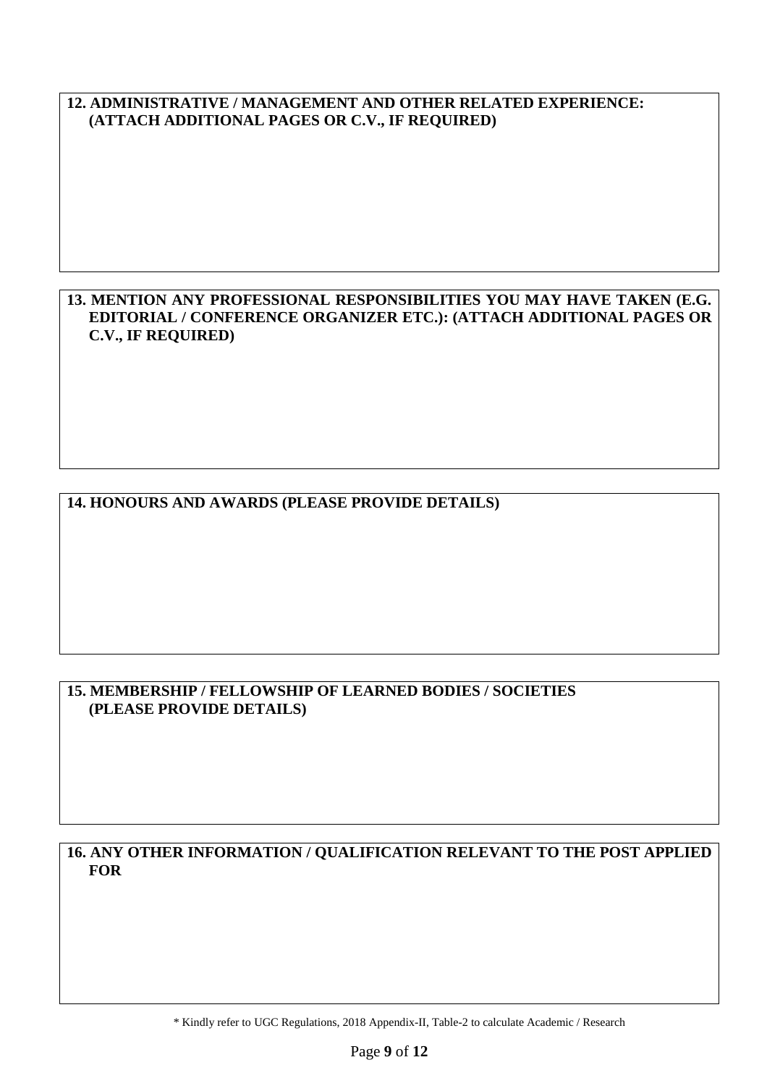#### **12. ADMINISTRATIVE / MANAGEMENT AND OTHER RELATED EXPERIENCE: (ATTACH ADDITIONAL PAGES OR C.V., IF REQUIRED)**

#### **13. MENTION ANY PROFESSIONAL RESPONSIBILITIES YOU MAY HAVE TAKEN (E.G. EDITORIAL / CONFERENCE ORGANIZER ETC.): (ATTACH ADDITIONAL PAGES OR C.V., IF REQUIRED)**

### **14. HONOURS AND AWARDS (PLEASE PROVIDE DETAILS)**

#### **15. MEMBERSHIP / FELLOWSHIP OF LEARNED BODIES / SOCIETIES (PLEASE PROVIDE DETAILS)**

#### **16. ANY OTHER INFORMATION / QUALIFICATION RELEVANT TO THE POST APPLIED FOR**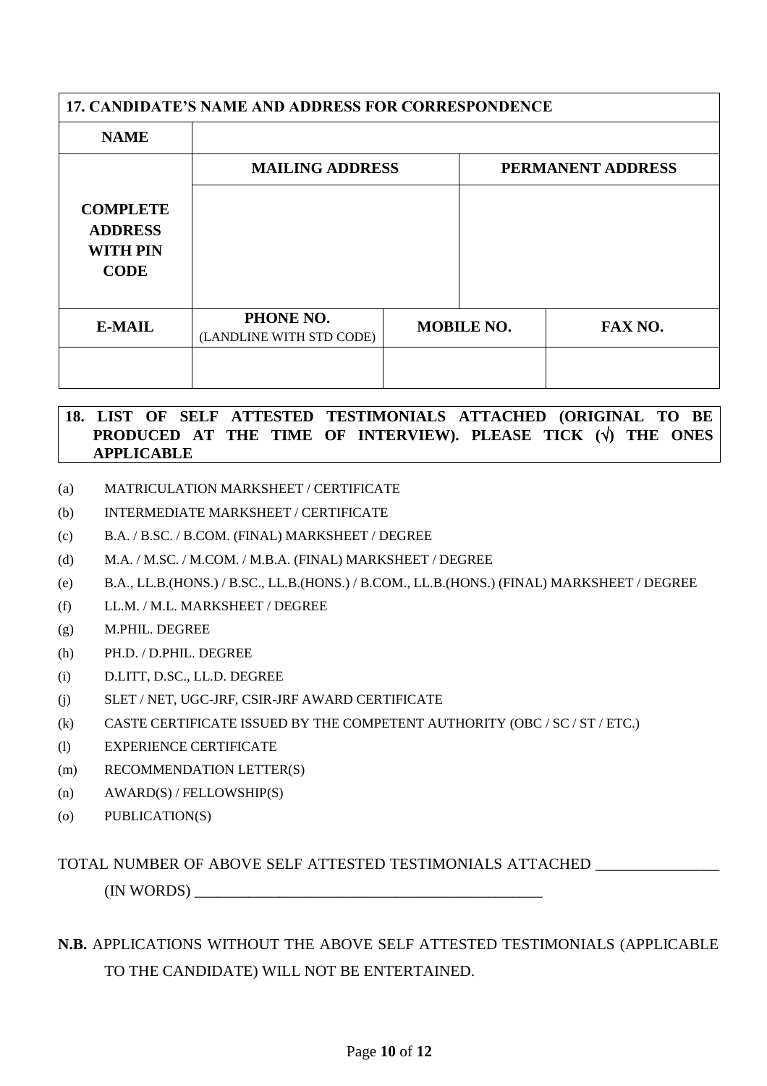| <b>17. CANDIDATE'S NAME AND ADDRESS FOR CORRESPONDENCE</b>          |                                       |  |                   |                   |
|---------------------------------------------------------------------|---------------------------------------|--|-------------------|-------------------|
| <b>NAME</b>                                                         |                                       |  |                   |                   |
|                                                                     | <b>MAILING ADDRESS</b>                |  |                   | PERMANENT ADDRESS |
| <b>COMPLETE</b><br><b>ADDRESS</b><br><b>WITH PIN</b><br><b>CODE</b> |                                       |  |                   |                   |
| <b>E-MAIL</b>                                                       | PHONE NO.<br>(LANDLINE WITH STD CODE) |  | <b>MOBILE NO.</b> | FAX NO.           |
|                                                                     |                                       |  |                   |                   |

#### **18. LIST OF SELF ATTESTED TESTIMONIALS ATTACHED (ORIGINAL TO BE PRODUCED AT THE TIME OF INTERVIEW). PLEASE TICK () THE ONES APPLICABLE**

- (a) MATRICULATION MARKSHEET / CERTIFICATE
- (b) INTERMEDIATE MARKSHEET / CERTIFICATE
- (c) B.A. / B.SC. / B.COM. (FINAL) MARKSHEET / DEGREE
- (d) M.A. / M.SC. / M.COM. / M.B.A. (FINAL) MARKSHEET / DEGREE
- (e) B.A., LL.B.(HONS.) / B.SC., LL.B.(HONS.) / B.COM., LL.B.(HONS.) (FINAL) MARKSHEET / DEGREE
- (f) LL.M. / M.L. MARKSHEET / DEGREE
- (g) M.PHIL. DEGREE
- (h) PH.D. / D.PHIL. DEGREE
- (i) D.LITT, D.SC., LL.D. DEGREE
- (j) SLET / NET, UGC-JRF, CSIR-JRF AWARD CERTIFICATE
- (k) CASTE CERTIFICATE ISSUED BY THE COMPETENT AUTHORITY (OBC / SC / ST / ETC.)
- (l) EXPERIENCE CERTIFICATE
- (m) RECOMMENDATION LETTER(S)
- (n) AWARD(S) / FELLOWSHIP(S)
- (o) PUBLICATION(S)

#### TOTAL NUMBER OF ABOVE SELF ATTESTED TESTIMONIALS ATTACHED \_\_\_\_\_\_\_\_\_\_\_\_\_\_\_\_

(IN WORDS) \_\_\_\_\_\_\_\_\_\_\_\_\_\_\_\_\_\_\_\_\_\_\_\_\_\_\_\_\_\_\_\_\_\_\_\_\_\_\_\_\_\_\_\_\_

## **N.B.** APPLICATIONS WITHOUT THE ABOVE SELF ATTESTED TESTIMONIALS (APPLICABLE TO THE CANDIDATE) WILL NOT BE ENTERTAINED.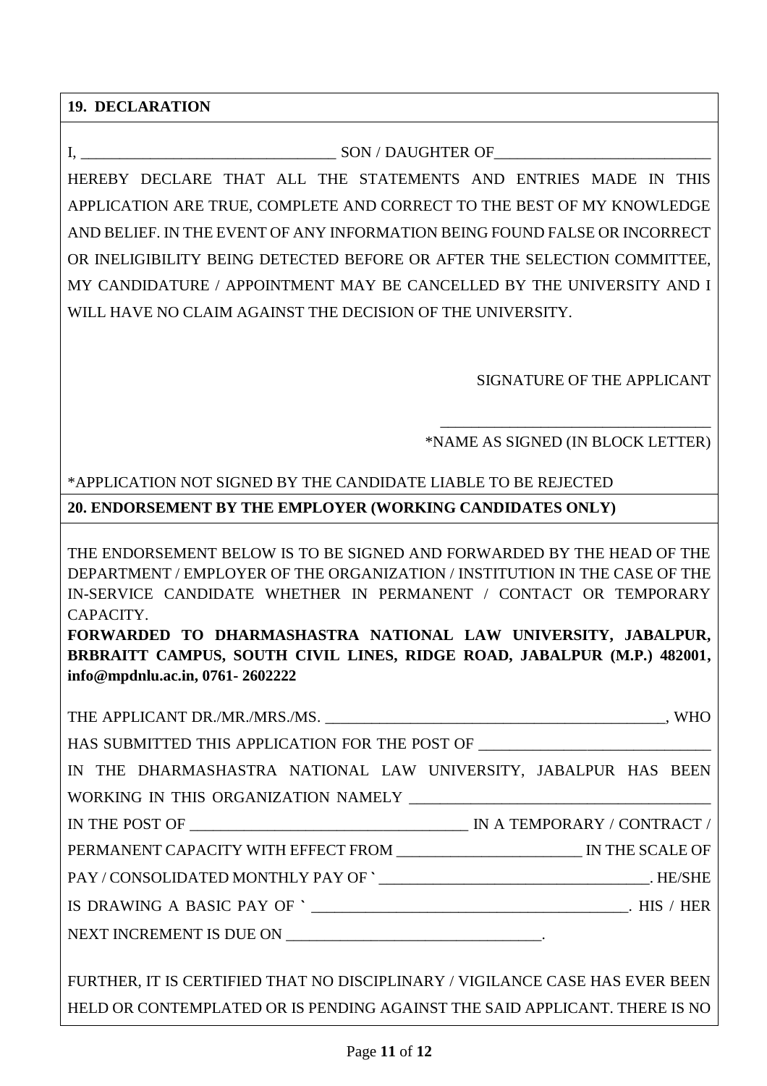**19. DECLARATION**

#### I, The son / DAUGHTER OF

HEREBY DECLARE THAT ALL THE STATEMENTS AND ENTRIES MADE IN THIS APPLICATION ARE TRUE, COMPLETE AND CORRECT TO THE BEST OF MY KNOWLEDGE AND BELIEF. IN THE EVENT OF ANY INFORMATION BEING FOUND FALSE OR INCORRECT OR INELIGIBILITY BEING DETECTED BEFORE OR AFTER THE SELECTION COMMITTEE, MY CANDIDATURE / APPOINTMENT MAY BE CANCELLED BY THE UNIVERSITY AND I WILL HAVE NO CLAIM AGAINST THE DECISION OF THE UNIVERSITY.

SIGNATURE OF THE APPLICANT

\_\_\_\_\_\_\_\_\_\_\_\_\_\_\_\_\_\_\_\_\_\_\_\_\_\_\_\_\_\_\_\_\_\_\_ \*NAME AS SIGNED (IN BLOCK LETTER)

# \*APPLICATION NOT SIGNED BY THE CANDIDATE LIABLE TO BE REJECTED

**20. ENDORSEMENT BY THE EMPLOYER (WORKING CANDIDATES ONLY)**

THE ENDORSEMENT BELOW IS TO BE SIGNED AND FORWARDED BY THE HEAD OF THE DEPARTMENT / EMPLOYER OF THE ORGANIZATION / INSTITUTION IN THE CASE OF THE IN-SERVICE CANDIDATE WHETHER IN PERMANENT / CONTACT OR TEMPORARY CAPACITY.

**FORWARDED TO DHARMASHASTRA NATIONAL LAW UNIVERSITY, JABALPUR, BRBRAITT CAMPUS, SOUTH CIVIL LINES, RIDGE ROAD, JABALPUR (M.P.) 482001, info@mpdnlu.ac.in, 0761- 2602222**

| HAS SUBMITTED THIS APPLICATION FOR THE POST OF _________________________________ |  |
|----------------------------------------------------------------------------------|--|
| IN THE DHARMASHASTRA NATIONAL LAW UNIVERSITY, JABALPUR HAS BEEN                  |  |
|                                                                                  |  |
| IN THE POST OF $\_\_\_\_\_\_\_\_\_\_\_\_\_\_\_\_\_$ IN A TEMPORARY / CONTRACT /  |  |
|                                                                                  |  |
|                                                                                  |  |
|                                                                                  |  |
|                                                                                  |  |
|                                                                                  |  |

FURTHER, IT IS CERTIFIED THAT NO DISCIPLINARY / VIGILANCE CASE HAS EVER BEEN HELD OR CONTEMPLATED OR IS PENDING AGAINST THE SAID APPLICANT. THERE IS NO